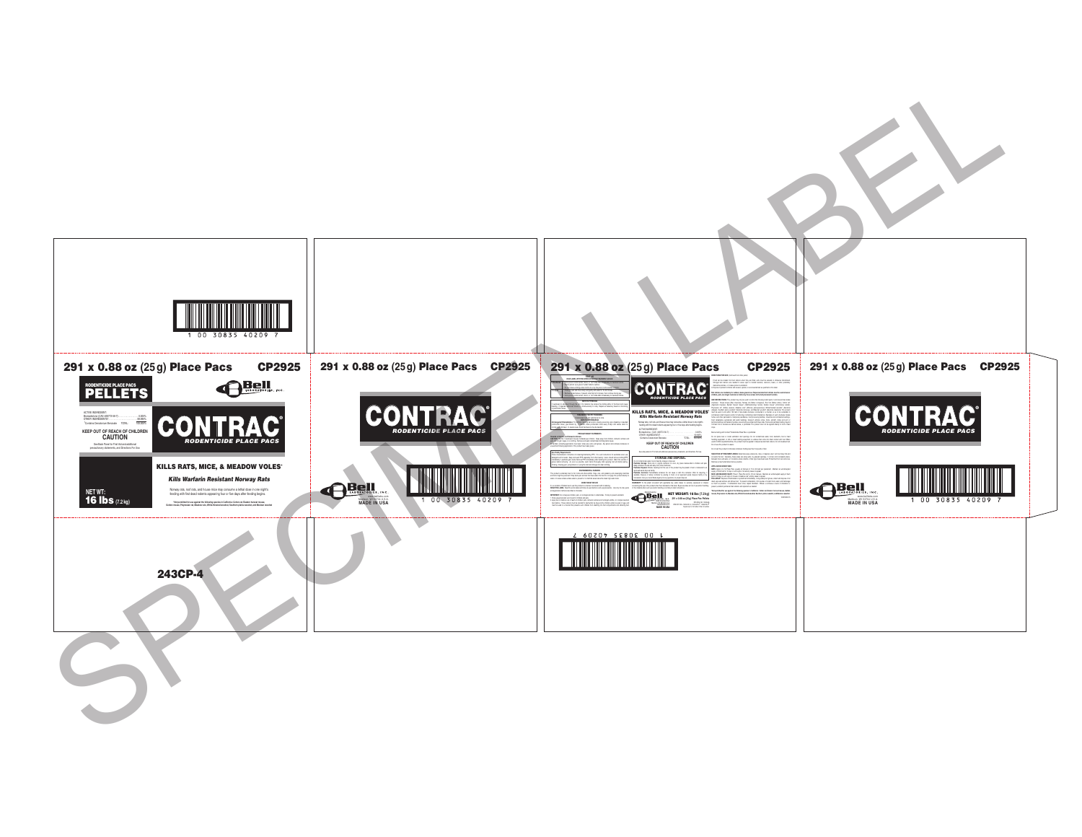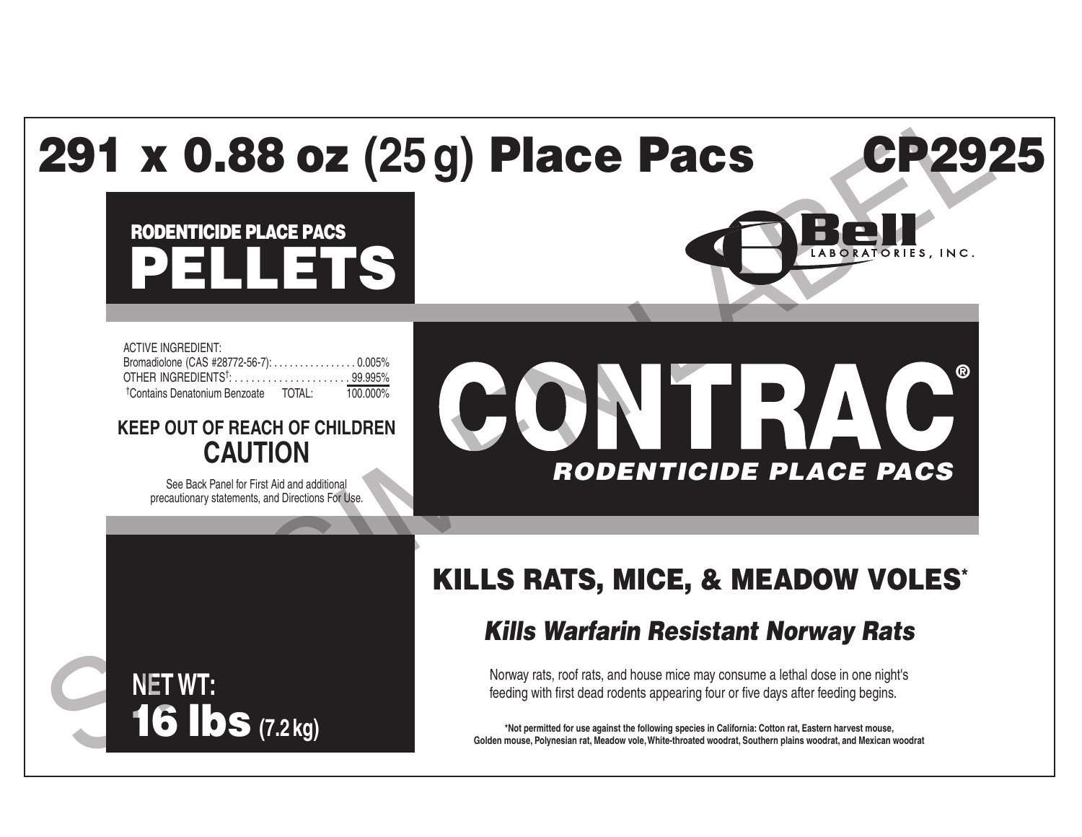# 291 x 0.88 oz **(25g)** Place Pacs CP2925

# PELLETS I RODENTICIDE PLACE PACS

ACTIVE INGREDIENT: Bromadiolone (CAS #28772-56-7): . . . . . . . . . . . . . . . . 0.005% OTHER INGREDIENTS† : . . . . . . . . . . . . . . . . . . . . . 99.995% † Contains Denatonium Benzoate TOTAL: 100.000%

**KEEP OUT OF REACH OF CHILDREN CAUTION**

> See Back Panel for First Aid and additional precautionary statements, and Directions For Use.

**NET WT:**

16 lbs **(7.2 kg)**

# ® CONTRAC *RODENTICIDE PLACE PACS* **PROBUTE PLACE PACE CONDUCT ACT ACTS CONDUCT ACTS SPECIAL OF CAUTION**<br>
KEP OUT OF REACH OF CHILDEN CAUTION<br>
CAUTION<br>
KILLS RATS, MICE, & MEADOW VOLES<br>
KILLS RATS, MICE, & MEADOW VOLES<br>
KILLS RATS, MICE, & MEADOW VOLES<br>
KIL

## KILLS RATS, MICE, & MEADOW VOLES\*

Norway rats, roof rats, and house mice may consume a lethal dose in one night's feeding with first dead rodents appearing four or five days after feeding begins.

**\*Not permitted for use against the following species in California: Cotton rat, Eastern harvest mouse, Golden mouse, Polynesian rat, Meadow vole, White-throated woodrat, Southern plains woodrat, and Mexican woodrat**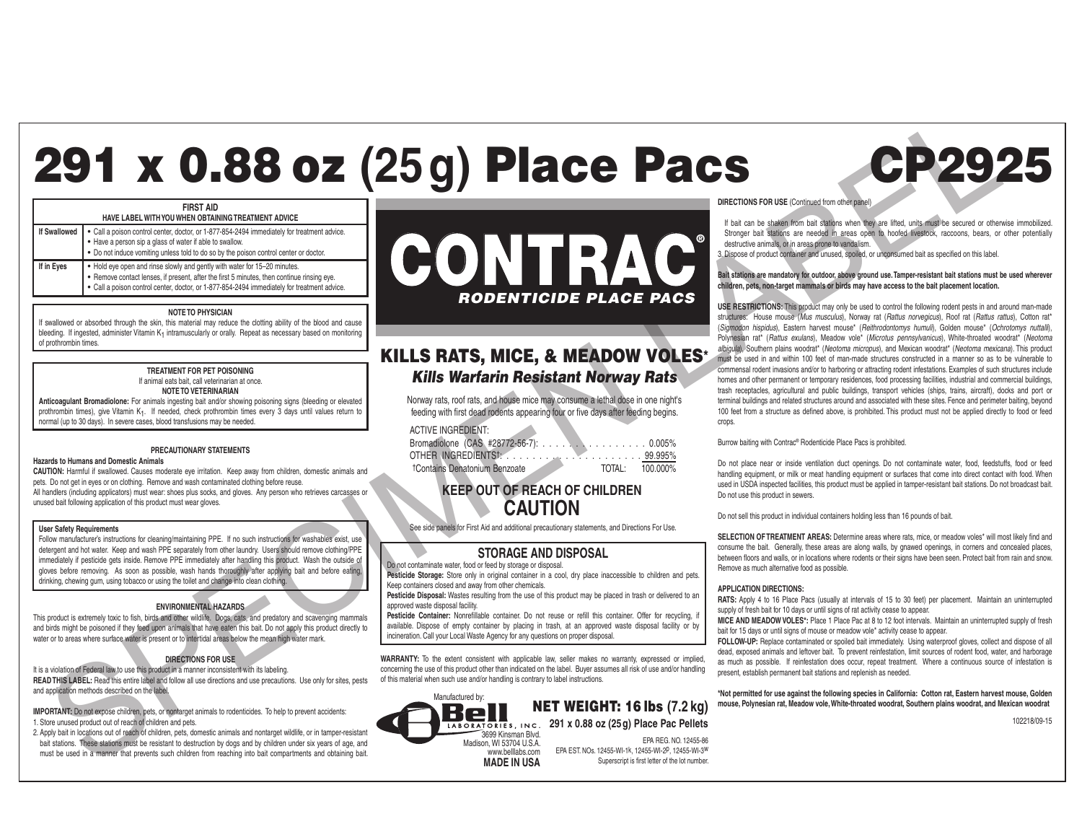# 291 x 0.88 oz **(25g)** Place Pacs CP2925 **CONTRACTERS**<br>
CONTRACTERS<br>
EXECUTIVE PLACE PAGE AND NOTED FOR THE READY VOLUME PLACE PAGE AND NOTED FOR THE READY VOLUME CAUSE AND TO USE OF THE READY OF THE READY OF THE READY OF THE READY OF THE READY OF THE READY OF TH



| TIAYE EADEL WITH TOO WITER OD IAIRING TREATMENT ADVICE |                                                                                                                                                                                                                                                                        |  |  |
|--------------------------------------------------------|------------------------------------------------------------------------------------------------------------------------------------------------------------------------------------------------------------------------------------------------------------------------|--|--|
|                                                        | If Swallowed<br>• Call a poison control center, doctor, or 1-877-854-2494 immediately for treatment advice.<br>• Have a person sip a glass of water if able to swallow.<br>• Do not induce vomiting unless told to do so by the poison                                 |  |  |
|                                                        |                                                                                                                                                                                                                                                                        |  |  |
|                                                        |                                                                                                                                                                                                                                                                        |  |  |
| If in Eyes                                             | • Hold eye open and rinse slowly and gently with water for 15-20 minutes.<br>• Remove contact lenses, if present, after the first 5 minutes, then continue rinsing eye.<br>• Call a poison control center, doctor, or 1-877-854-2494 immediately for treatment advice. |  |  |

### **NOTE TO PHYSICIAN**

If swallowed or absorbed through the skin, this material may reduce the clotting ability of the blood and cause bleeding. If ingested, administer Vitamin K<sub>1</sub> intramuscularly or orally. Repeat as necessary based on monitoring of prothrombin times.

### **TREATMENT FOR PET POISONING** If animal eats bait, call veterinarian at once. **NOTE TO VETERINARIAN**

**Anticoagulant Bromadiolone:** For animals ingesting bait and/or showing poisoning signs (bleeding or elevated prothrombin times), give Vitamin K<sub>1</sub>. If needed, check prothrombin times every 3 days until values return to normal (up to 30 days). In severe cases, blood transfusions may be needed.

### **PRECAUTIONARY STATEMENTS**

### **Hazards to Humans and Domestic Animals**

**CAUTION:** Harmful if swallowed. Causes moderate eye irritation. Keep away from children, domestic animals and pets. Do not get in eyes or on clothing. Remove and wash contaminated clothing before reuse. All handlers (including applicators) must wear: shoes plus socks, and gloves. Any person who retrieves carcasses or unused bait following application of this product must wear gloves.

### **User Safety Requirements**

Follow manufacturer's instructions for cleaning/maintaining PPE. If no such instructions for washables exist, use detergent and hot water. Keep and wash PPE separately from other laundry. Users should remove clothing/PPE immediately if pesticide gets inside. Remove PPE immediately after handling this product. Wash the outside of gloves before removing. As soon as possible, wash hands thoroughly after applying bait and before eating, drinking, chewing gum, using tobacco or using the toilet and change into clean clothing.

### **ENVIRONMENTAL HAZARDS**

This product is extremely toxic to fish, birds and other wildlife. Dogs, cats, and predatory and scavenging mammals and birds might be poisoned if they feed upon animals that have eaten this bait. Do not apply this product directly to water or to areas where surface water is present or to intertidal areas below the mean high water mark.

### **DIRECTIONS FOR USE**

It is a violation of Federal law to use this product in a manner inconsistent with its labeling. **READ THIS LABEL:** Read this entire label and follow all use directions and use precautions. Use only for sites, pests and application methods described on the label.

**IMPORTANT:** Do not expose children, pets, or nontarget animals to rodenticides. To help to prevent accidents: 1. Store unused product out of reach of children and pets.

2. Apply bait in locations out of reach of children, pets, domestic animals and nontarget wildlife, or in tamper-resistant bait stations. These stations must be resistant to destruction by dogs and by children under six years of age, and must be used in a manner that prevents such children from reaching into bait compartments and obtaining bait.



### KILLS RATS, MICE, & MEADOW VOLES\* *Kills Warfarin Resistant Norway Rats*

Norway rats, roof rats, and house mice may consume a lethal dose in one night's feeding with first dead rodents appearing four or five days after feeding begins.

### ACTIVE INGREDIENT:

| Bromadiolone (CAS #28772-56-7): 0.005%    |        |          |
|-------------------------------------------|--------|----------|
| OTHER INGREDIENTS!                        |        |          |
| <sup>†</sup> Contains Denatonium Benzoate | TOTAL: | 100.000% |

### **KEEP OUT OF REACH OF CHILDREN CAUTION**

See side panels for First Aid and additional precautionary statements, and Directions For Use.

### **STORAGE AND DISPOSAL**

Do not contaminate water, food or feed by storage or disposal. **Pesticide Storage:** Store only in original container in a cool, dry place inaccessible to children and pets.

Keep containers closed and away from other chemicals. **Pesticide Disposal:** Wastes resulting from the use of this product may be placed in trash or delivered to an approved waste disposal facility.

**Pesticide Container:** Nonrefillable container. Do not reuse or refill this container. Offer for recycling, if available. Dispose of empty container by placing in trash, at an approved waste disposal facility or by incineration. Call your Local Waste Agency for any questions on proper disposal.

WARRANTY: To the extent consistent with applicable law, seller makes no warranty, expressed or implied, concerning the use of this product other than indicated on the label. Buyer assumes all risk of use and/or handling of this material when such use and/or handling is contrary to label instructions.

> NET WEIGHT: 16 lbs **(7.2 kg)** LABORATORIES, INC. 291 x 0.88 oz (25 g) Place Pac Pellets



Manufactured by:

EPA REG. NO. 12455-86 EPA EST. NOs. 12455-WI-1k, 12455-WI-2p, 12455-WI-3w Superscript is first letter of the lot number.



If bait can be shaken from bait stations when they are lifted, units must be secured or otherwise immobilized. Stronger bait stations are needed in areas open to hoofed livestock, raccoons, bears, or other potentially destructive animals, or in areas prone to vandalism.

3. Dispose of product container and unused, spoiled, or unconsumed bait as specified on this label.

### **Bait stations are mandatory for outdoor, above ground use. Tamper-resistant bait stations must be used wherever children, pets, non-target mammals or birds may have access to the bait placement location.**

**USE RESTRICTIONS:** This product may only be used to control the following rodent pests in and around man-made structures: House mouse (*Mus musculus*), Norway rat (*Rattus norvegicus*), Roof rat (*Rattus rattus*), Cotton rat\* (*Sigmodon hispidus*), Eastern harvest mouse\* (*Reithrodontomys humuli*), Golden mouse\* (*Ochrotomys nuttalli*), Polynesian rat\* (*Rattus exulans*), Meadow vole\* (*Microtus pennsylvanicus*), White-throated woodrat\* (*Neotoma albigula*), Southern plains woodrat\* (*Neotoma micropus*), and Mexican woodrat\* (*Neotoma mexicana*). This product must be used in and within 100 feet of man-made structures constructed in a manner so as to be vulnerable to commensal rodent invasions and/or to harboring or attracting rodent infestations. Examples of such structures include homes and other permanent or temporary residences, food processing facilities, industrial and commercial buildings, trash receptacles, agricultural and public buildings, transport vehicles (ships, trains, aircraft), docks and port or terminal buildings and related structures around and associated with these sites. Fence and perimeter baiting, beyond 100 feet from a structure as defined above, is prohibited. This product must not be applied directly to food or feed crops.

Burrow baiting with Contrac® Rodenticide Place Pacs is prohibited.

Do not place near or inside ventilation duct openings. Do not contaminate water, food, feedstuffs, food or feed handling equipment, or milk or meat handling equipment or surfaces that come into direct contact with food. When used in USDA inspected facilities, this product must be applied in tamper-resistant bait stations. Do not broadcast bait. Do not use this product in sewers.

Do not sell this product in individual containers holding less than 16 pounds of bait.

**SELECTION OF TREATMENT AREAS:** Determine areas where rats, mice, or meadow voles\* will most likely find and consume the bait. Generally, these areas are along walls, by gnawed openings, in corners and concealed places, between floors and walls, or in locations where rodents or their signs have been seen. Protect bait from rain and snow. Remove as much alternative food as possible.

### **APPLICATION DIRECTIONS:**

**RATS:** Apply 4 to 16 Place Pacs (usually at intervals of 15 to 30 feet) per placement. Maintain an uninterrupted supply of fresh bait for 10 days or until signs of rat activity cease to appear.

**MICE AND MEADOW VOLES\*:** Place 1 Place Pac at 8 to 12 foot intervals. Maintain an uninterrupted supply of fresh bait for 15 days or until signs of mouse or meadow vole\* activity cease to appear.

**FOLLOW-UP:** Replace contaminated or spoiled bait immediately. Using waterproof gloves, collect and dispose of all dead, exposed animals and leftover bait. To prevent reinfestation, limit sources of rodent food, water, and harborage as much as possible. If reinfestation does occur, repeat treatment. Where a continuous source of infestation is present, establish permanent bait stations and replenish as needed.

**\*Not permitted for use against the following species in California: Cotton rat, Eastern harvest mouse, Golden mouse, Polynesian rat, Meadow vole, White-throated woodrat, Southern plains woodrat, and Mexican woodrat**

102218/09-15